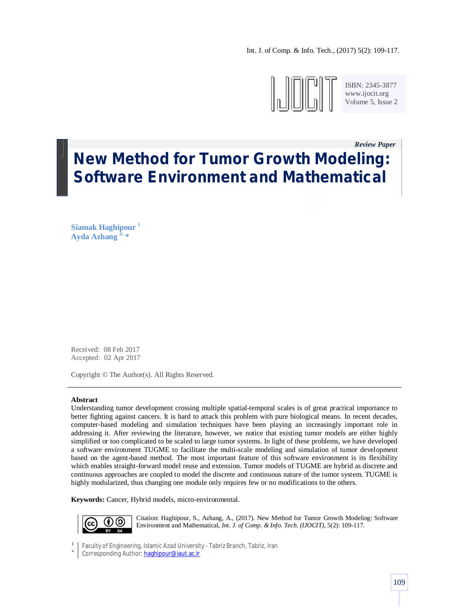Int. J. of Comp. & Info. Tech., (2017) 5(2): 109-117.



ISBN: 2345-3877 www.ijocit.org Volume 5, Issue 2

# *Review Paper\_\_* **New Method for Tumor Growth Modeling: Software Environment and Mathematical**

**Siamak Haghipour <sup>1</sup> Ayda Azhang 2, \***

Received: 08 Feb 2017 Accepted: 02 Apr 2017

Copyright © The Author(s). All Rights Reserved.

#### **Abstract**

Understanding tumor development crossing multiple spatial-temporal scales is of great practical importance to better fighting against cancers. It is hard to attack this problem with pure biological means. In recent decades, computer-based modeling and simulation techniques have been playing an increasingly important role in addressing it. After reviewing the literature, however, we notice that existing tumor models are either highly simplified or too complicated to be scaled to large tumor systems. In light of these problems, we have developed a software environment TUGME to facilitate the multi-scale modeling and simulation of tumor development based on the agent-based method. The most important feature of this software environment is its flexibility which enables straight-forward model reuse and extension. Tumor models of TUGME are hybrid as discrete and continuous approaches are coupled to model the discrete and continuous nature of the tumor system. TUGME is highly modularized, thus changing one module only requires few or no modifications to the others.

**Keywords:** Cancer, Hybrid models, micro-environmental.



Citation: Haghipour, S., Azhang, A., (2017). New Method for Tumor Growth Modeling: Software Environment and Mathematical, *Int. J. of Comp. & Info. Tech. (IJOCIT)*, 5(2): 109-117.

1 Faculty of Engineering, Islamic Azad University - Tabriz Branch, Tabriz, Iran

\* Corresponding Author: haghipour@iaut.ac.ir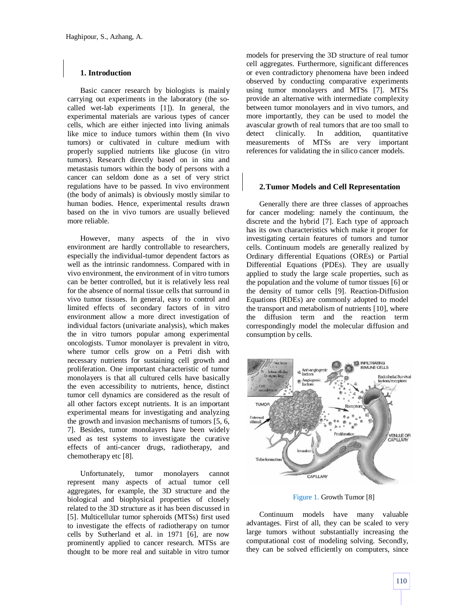### **1. Introduction**

Basic cancer research by biologists is mainly carrying out experiments in the laboratory (the socalled wet-lab experiments [1]). In general, the experimental materials are various types of cancer cells, which are either injected into living animals like mice to induce tumors within them (In vivo tumors) or cultivated in culture medium with properly supplied nutrients like glucose (in vitro tumors). Research directly based on in situ and metastasis tumors within the body of persons with a cancer can seldom done as a set of very strict regulations have to be passed. In vivo environment (the body of animals) is obviously mostly similar to human bodies. Hence, experimental results drawn based on the in vivo tumors are usually believed more reliable.

However, many aspects of the in vivo environment are hardly controllable to researchers, especially the individual-tumor dependent factors as well as the intrinsic randomness. Compared with in vivo environment, the environment of in vitro tumors can be better controlled, but it is relatively less real for the absence of normal tissue cells that surround in vivo tumor tissues. In general, easy to control and limited effects of secondary factors of in vitro environment allow a more direct investigation of individual factors (univariate analysis), which makes the in vitro tumors popular among experimental oncologists. Tumor monolayer is prevalent in vitro, where tumor cells grow on a Petri dish with necessary nutrients for sustaining cell growth and proliferation. One important characteristic of tumor monolayers is that all cultured cells have basically the even accessibility to nutrients, hence, distinct tumor cell dynamics are considered as the result of all other factors except nutrients. It is an important experimental means for investigating and analyzing the growth and invasion mechanisms of tumors [5, 6, 7]. Besides, tumor monolayers have been widely used as test systems to investigate the curative effects of anti-cancer drugs, radiotherapy, and chemotherapy etc [8].

Unfortunately, tumor monolayers cannot represent many aspects of actual tumor cell aggregates, for example, the 3D structure and the biological and biophysical properties of closely related to the 3D structure as it has been discussed in [5]. Multicellular tumor spheroids (MTSs) first used to investigate the effects of radiotherapy on tumor cells by Sutherland et al. in 1971 [6], are now prominently applied to cancer research. MTSs are thought to be more real and suitable in vitro tumor models for preserving the 3D structure of real tumor cell aggregates. Furthermore, significant differences or even contradictory phenomena have been indeed observed by conducting comparative experiments using tumor monolayers and MTSs [7]. MTSs provide an alternative with intermediate complexity between tumor monolayers and in vivo tumors, and more importantly, they can be used to model the avascular growth of real tumors that are too small to detect clinically. In addition, quantitative measurements of MTSs are very important references for validating the in silico cancer models.

#### **2.Tumor Models and Cell Representation**

Generally there are three classes of approaches for cancer modeling: namely the continuum, the discrete and the hybrid [7]. Each type of approach has its own characteristics which make it proper for investigating certain features of tumors and tumor cells. Continuum models are generally realized by Ordinary differential Equations (OREs) or Partial Differential Equations (PDEs). They are usually applied to study the large scale properties, such as the population and the volume of tumor tissues [6] or the density of tumor cells [9]. Reaction-Diffusion Equations (RDEs) are commonly adopted to model the transport and metabolism of nutrients [10], where the diffusion term and the reaction term correspondingly model the molecular diffusion and consumption by cells.



Figure 1. Growth Tumor [8]

Continuum models have many valuable advantages. First of all, they can be scaled to very large tumors without substantially increasing the computational cost of modeling solving. Secondly, they can be solved efficiently on computers, since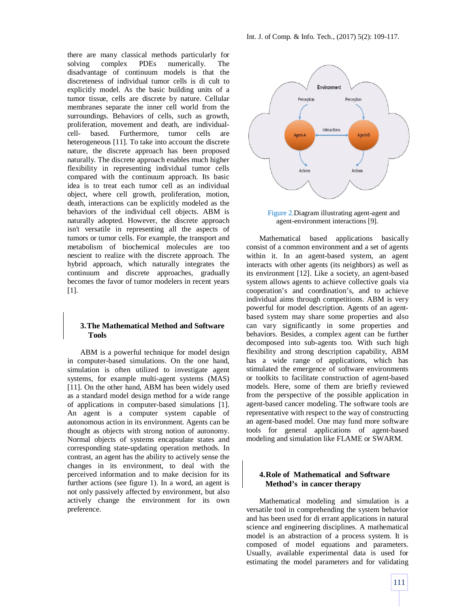there are many classical methods particularly for solving complex PDEs numerically. The disadvantage of continuum models is that the discreteness of individual tumor cells is di cult to explicitly model. As the basic building units of a tumor tissue, cells are discrete by nature. Cellular membranes separate the inner cell world from the surroundings. Behaviors of cells, such as growth, proliferation, movement and death, are individualcell- based. Furthermore, tumor cells are heterogeneous [11]. To take into account the discrete nature, the discrete approach has been proposed naturally. The discrete approach enables much higher flexibility in representing individual tumor cells compared with the continuum approach. Its basic idea is to treat each tumor cell as an individual object, where cell growth, proliferation, motion, death, interactions can be explicitly modeled as the behaviors of the individual cell objects. ABM is naturally adopted. However, the discrete approach isn't versatile in representing all the aspects of tumors or tumor cells. For example, the transport and metabolism of biochemical molecules are too nescient to realize with the discrete approach. The hybrid approach, which naturally integrates the continuum and discrete approaches, gradually becomes the favor of tumor modelers in recent years [1].

# **3.The Mathematical Method and Software Tools**

ABM is a powerful technique for model design in computer-based simulations. On the one hand, simulation is often utilized to investigate agent systems, for example multi-agent systems (MAS) [11]. On the other hand, ABM has been widely used as a standard model design method for a wide range of applications in computer-based simulations [1]. An agent is a computer system capable of autonomous action in its environment. Agents can be thought as objects with strong notion of autonomy. Normal objects of systems encapsulate states and corresponding state-updating operation methods. In contrast, an agent has the ability to actively sense the changes in its environment, to deal with the perceived information and to make decision for its further actions (see figure 1). In a word, an agent is not only passively affected by environment, but also actively change the environment for its own preference.



Figure 2.Diagram illustrating agent-agent and agent-environment interactions [9].

Mathematical based applications basically consist of a common environment and a set of agents within it. In an agent-based system, an agent interacts with other agents (its neighbors) as well as its environment [12]. Like a society, an agent-based system allows agents to achieve collective goals via cooperation's and coordination's, and to achieve individual aims through competitions. ABM is very powerful for model description. Agents of an agentbased system may share some properties and also can vary significantly in some properties and behaviors. Besides, a complex agent can be further decomposed into sub-agents too. With such high flexibility and strong description capability, ABM has a wide range of applications, which has stimulated the emergence of software environments or toolkits to facilitate construction of agent-based models. Here, some of them are briefly reviewed from the perspective of the possible application in agent-based cancer modeling. The software tools are representative with respect to the way of constructing an agent-based model. One may fund more software tools for general applications of agent-based modeling and simulation like FLAME or SWARM.

# **4.Role of Mathematical and Software Method's in cancer therapy**

Mathematical modeling and simulation is a versatile tool in comprehending the system behavior and has been used for di errant applications in natural science and engineering disciplines. A mathematical model is an abstraction of a process system. It is composed of model equations and parameters. Usually, available experimental data is used for estimating the model parameters and for validating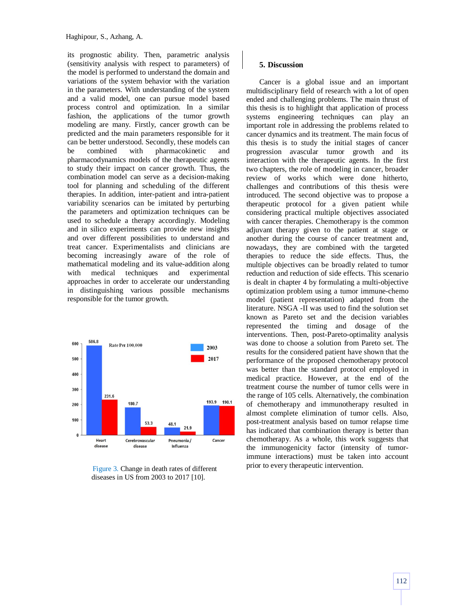its prognostic ability. Then, parametric analysis (sensitivity analysis with respect to parameters) of the model is performed to understand the domain and variations of the system behavior with the variation in the parameters. With understanding of the system and a valid model, one can pursue model based process control and optimization. In a similar fashion, the applications of the tumor growth modeling are many. Firstly, cancer growth can be predicted and the main parameters responsible for it can be better understood. Secondly, these models can be combined with pharmacokinetic and pharmacodynamics models of the therapeutic agents to study their impact on cancer growth. Thus, the combination model can serve as a decision-making tool for planning and scheduling of the different therapies. In addition, inter-patient and intra-patient variability scenarios can be imitated by perturbing the parameters and optimization techniques can be used to schedule a therapy accordingly. Modeling and in silico experiments can provide new insights and over different possibilities to understand and treat cancer. Experimentalists and clinicians are becoming increasingly aware of the role of mathematical modeling and its value-addition along with medical techniques and experimental approaches in order to accelerate our understanding in distinguishing various possible mechanisms responsible for the tumor growth.



Figure 3. Change in death rates of different diseases in US from 2003 to 2017 [10].

#### **5. Discussion**

Cancer is a global issue and an important multidisciplinary field of research with a lot of open ended and challenging problems. The main thrust of this thesis is to highlight that application of process systems engineering techniques can play an important role in addressing the problems related to cancer dynamics and its treatment. The main focus of this thesis is to study the initial stages of cancer progression avascular tumor growth and its interaction with the therapeutic agents. In the first two chapters, the role of modeling in cancer, broader review of works which were done hitherto, challenges and contributions of this thesis were introduced. The second objective was to propose a therapeutic protocol for a given patient while considering practical multiple objectives associated with cancer therapies. Chemotherapy is the common adjuvant therapy given to the patient at stage or another during the course of cancer treatment and, nowadays, they are combined with the targeted therapies to reduce the side effects. Thus, the multiple objectives can be broadly related to tumor reduction and reduction of side effects. This scenario is dealt in chapter 4 by formulating a multi-objective optimization problem using a tumor immune-chemo model (patient representation) adapted from the literature. NSGA -II was used to find the solution set known as Pareto set and the decision variables represented the timing and dosage of the interventions. Then, post-Pareto-optimality analysis was done to choose a solution from Pareto set. The results for the considered patient have shown that the performance of the proposed chemotherapy protocol was better than the standard protocol employed in medical practice. However, at the end of the treatment course the number of tumor cells were in the range of 105 cells. Alternatively, the combination of chemotherapy and immunotherapy resulted in almost complete elimination of tumor cells. Also, post-treatment analysis based on tumor relapse time has indicated that combination therapy is better than chemotherapy. As a whole, this work suggests that the immunogenicity factor (intensity of tumorimmune interactions) must be taken into account prior to every therapeutic intervention.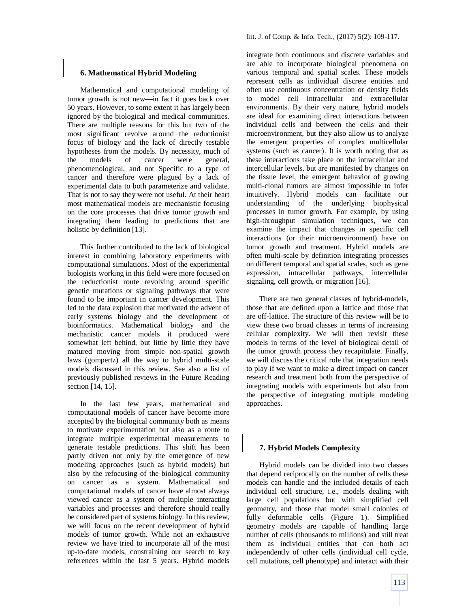### **6. Mathematical Hybrid Modeling**

Mathematical and computational modeling of tumor growth is not new—in fact it goes back over 50 years. However, to some extent it has largely been ignored by the biological and medical communities. There are multiple reasons for this but two of the most significant revolve around the reductionist focus of biology and the lack of directly testable hypotheses from the models. By necessity, much of the models of cancer were general, phenomenological, and not Specific to a type of cancer and therefore were plagued by a lack of experimental data to both parameterize and validate. That is not to say they were not useful. At their heart most mathematical models are mechanistic focusing on the core processes that drive tumor growth and integrating them leading to predictions that are holistic by definition [13].

This further contributed to the lack of biological interest in combining laboratory experiments with computational simulations. Most of the experimental biologists working in this field were more focused on the reductionist route revolving around specific genetic mutations or signaling pathways that were found to be important in cancer development. This led to the data explosion that motivated the advent of early systems biology and the development of bioinformatics. Mathematical biology and the mechanistic cancer models it produced were somewhat left behind, but little by little they have matured moving from simple non-spatial growth laws (gompertz) all the way to hybrid multi-scale models discussed in this review. See also a list of previously published reviews in the Future Reading section [14, 15].

In the last few years, mathematical and computational models of cancer have become more accepted by the biological community both as means to motivate experimentation but also as a route to integrate multiple experimental measurements to generate testable predictions. This shift has been partly driven not only by the emergence of new modeling approaches (such as hybrid models) but also by the refocusing of the biological community on cancer as a system. Mathematical and computational models of cancer have almost always viewed cancer as a system of multiple interacting variables and processes and therefore should really be considered part of systems biology. In this review, we will focus on the recent development of hybrid models of tumor growth. While not an exhaustive review we have tried to incorporate all of the most up-to-date models, constraining our search to key references within the last 5 years. Hybrid models integrate both continuous and discrete variables and are able to incorporate biological phenomena on various temporal and spatial scales. These models represent cells as individual discrete entities and often use continuous concentration or density fields to model cell intracellular and extracellular environments. By their very nature, hybrid models are ideal for examining direct interactions between individual cells and between the cells and their microenvironment, but they also allow us to analyze the emergent properties of complex multicellular systems (such as cancer). It is worth noting that as these interactions take place on the intracellular and intercellular levels, but are manifested by changes on the tissue level, the emergent behavior of growing multi-clonal tumors are almost impossible to infer intuitively. Hybrid models can facilitate our understanding of the underlying biophysical processes in tumor growth. For example, by using high-throughput simulation techniques, we can examine the impact that changes in specific cell interactions (or their microenvironment) have on tumor growth and treatment. Hybrid models are often multi-scale by definition integrating processes on different temporal and spatial scales, such as gene expression, intracellular pathways, intercellular signaling, cell growth, or migration [16].

There are two general classes of hybrid-models, those that are defined upon a lattice and those that are off-lattice. The structure of this review will be to view these two broad classes in terms of increasing cellular complexity. We will then revisit these models in terms of the level of biological detail of the tumor growth process they recapitulate. Finally, we will discuss the critical role that integration needs to play if we want to make a direct impact on cancer research and treatment both from the perspective of integrating models with experiments but also from the perspective of integrating multiple modeling approaches.

#### **7. Hybrid Models Complexity**

Hybrid models can be divided into two classes that depend reciprocally on the number of cells these models can handle and the included details of each individual cell structure, i.e., models dealing with large cell populations but with simplified cell geometry, and those that model small colonies of fully deformable cells (Figure 1). Simplified geometry models are capable of handling large number of cells (thousands to millions) and still treat them as individual entities that can both act independently of other cells (individual cell cycle, cell mutations, cell phenotype) and interact with their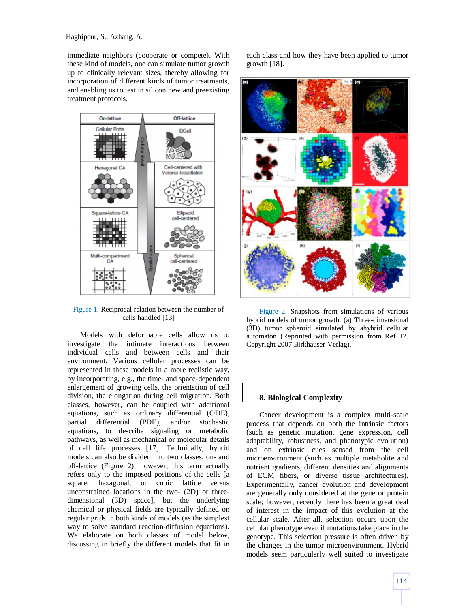Haghipour, S., Azhang, A.

immediate neighbors (cooperate or compete). With these kind of models, one can simulate tumor growth up to clinically relevant sizes, thereby allowing for incorporation of different kinds of tumor treatments, and enabling us to test in silicon new and preexisting treatment protocols.



Figure 1. Reciprocal relation between the number of cells handled [13]

Models with deformable cells allow us to investigate the intimate interactions between individual cells and between cells and their environment. Various cellular processes can be represented in these models in a more realistic way, by incorporating, e.g., the time- and space-dependent enlargement of growing cells, the orientation of cell division, the elongation during cell migration. Both classes, however, can be coupled with additional equations, such as ordinary differential (ODE), partial differential (PDE), and/or stochastic equations, to describe signaling or metabolic pathways, as well as mechanical or molecular details of cell life processes [17]. Technically, hybrid models can also be divided into two classes, on- and off-lattice (Figure 2), however, this term actually refers only to the imposed positions of the cells [a square, hexagonal, or cubic lattice versus unconstrained locations in the two- (2D) or threedimensional (3D) space], but the underlying chemical or physical fields are typically defined on regular grids in both kinds of models (as the simplest way to solve standard reaction-diffusion equations). We elaborate on both classes of model below, discussing in briefly the different models that fit in

each class and how they have been applied to tumor growth [18].



Figure 2. Snapshots from simulations of various hybrid models of tumor growth. (a) Three-dimensional (3D) tumor spheroid simulated by ahybrid cellular automaton (Reprinted with permission from Ref 12. Copyright 2007 Birkhauser-Verlag).

# **8. Biological Complexity**

Cancer development is a complex multi-scale process that depends on both the intrinsic factors (such as genetic mutation, gene expression, cell adaptability, robustness, and phenotypic evolution) and on extrinsic cues sensed from the cell microenvironment (such as multiple metabolite and nutrient gradients, different densities and alignments of ECM fibers, or diverse tissue architectures). Experimentally, cancer evolution and development are generally only considered at the gene or protein scale; however, recently there has been a great deal of interest in the impact of this evolution at the cellular scale. After all, selection occurs upon the cellular phenotype even if mutations take place in the genotype. This selection pressure is often driven by the changes in the tumor microenvironment. Hybrid models seem particularly well suited to investigate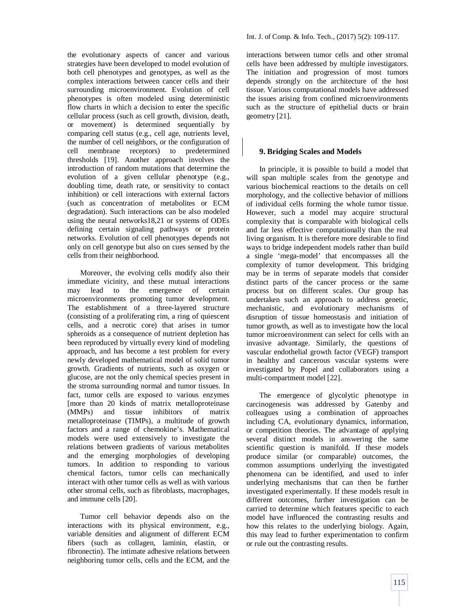the evolutionary aspects of cancer and various strategies have been developed to model evolution of both cell phenotypes and genotypes, as well as the complex interactions between cancer cells and their surrounding microenvironment. Evolution of cell phenotypes is often modeled using deterministic flow charts in which a decision to enter the specific cellular process (such as cell growth, division, death, or movement) is determined sequentially by comparing cell status (e.g., cell age, nutrients level, the number of cell neighbors, or the configuration of cell membrane receptors) to predetermined thresholds [19]. Another approach involves the introduction of random mutations that determine the evolution of a given cellular phenotype (e.g., doubling time, death rate, or sensitivity to contact inhibition) or cell interactions with external factors (such as concentration of metabolites or ECM degradation). Such interactions can be also modeled using the neural networks18,21 or systems of ODEs defining certain signaling pathways or protein networks. Evolution of cell phenotypes depends not only on cell genotype but also on cues sensed by the cells from their neighborhood.

Moreover, the evolving cells modify also their immediate vicinity, and these mutual interactions may lead to the emergence of certain microenvironments promoting tumor development. The establishment of a three-layered structure (consisting of a proliferating rim, a ring of quiescent cells, and a necrotic core) that arises in tumor spheroids as a consequence of nutrient depletion has been reproduced by virtually every kind of modeling approach, and has become a test problem for every newly developed mathematical model of solid tumor growth. Gradients of nutrients, such as oxygen or glucose, are not the only chemical species present in the stroma surrounding normal and tumor tissues. In fact, tumor cells are exposed to various enzymes [more than 20 kinds of matrix metalloproteinase (MMPs) and tissue inhibitors of matrix metalloproteinase (TIMPs), a multitude of growth factors and a range of chemokine's. Mathematical models were used extensively to investigate the relations between gradients of various metabolites and the emerging morphologies of developing tumors. In addition to responding to various chemical factors, tumor cells can mechanically interact with other tumor cells as well as with various other stromal cells, such as fibroblasts, macrophages, and immune cells [20].

Tumor cell behavior depends also on the interactions with its physical environment, e.g., variable densities and alignment of different ECM fibers (such as collagen, laminin, elastin, or fibronectin). The intimate adhesive relations between neighboring tumor cells, cells and the ECM, and the interactions between tumor cells and other stromal cells have been addressed by multiple investigators. The initiation and progression of most tumors depends strongly on the architecture of the host tissue. Various computational models have addressed the issues arising from confined microenvironments such as the structure of epithelial ducts or brain geometry [21].

# **9. Bridging Scales and Models**

In principle, it is possible to build a model that will span multiple scales from the genotype and various biochemical reactions to the details on cell morphology, and the collective behavior of millions of individual cells forming the whole tumor tissue. However, such a model may acquire structural complexity that is comparable with biological cells and far less effective computationally than the real living organism. It is therefore more desirable to find ways to bridge independent models rather than build a single 'mega-model' that encompasses all the complexity of tumor development. This bridging may be in terms of separate models that consider distinct parts of the cancer process or the same process but on different scales. Our group has undertaken such an approach to address genetic, mechanistic, and evolutionary mechanisms of disruption of tissue homeostasis and initiation of tumor growth, as well as to investigate how the local tumor microenvironment can select for cells with an invasive advantage. Similarly, the questions of vascular endothelial growth factor (VEGF) transport in healthy and cancerous vascular systems were investigated by Popel and collaborators using a multi-compartment model [22].

The emergence of glycolytic phenotype in carcinogenesis was addressed by Gatenby and colleagues using a combination of approaches including CA, evolutionary dynamics, information, or competition theories. The advantage of applying several distinct models in answering the same scientific question is manifold. If these models produce similar (or comparable) outcomes, the common assumptions underlying the investigated phenomena can be identified, and used to infer underlying mechanisms that can then be further investigated experimentally. If these models result in different outcomes, further investigation can be carried to determine which features specific to each model have influenced the contrasting results and how this relates to the underlying biology. Again, this may lead to further experimentation to confirm or rule out the contrasting results.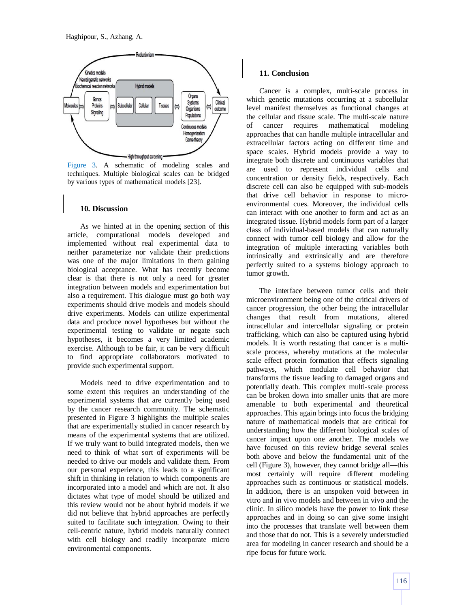

Figure 3. A schematic of modeling scales and techniques. Multiple biological scales can be bridged by various types of mathematical models [23].

#### **10. Discussion**

As we hinted at in the opening section of this article, computational models developed and implemented without real experimental data to neither parameterize nor validate their predictions was one of the major limitations in them gaining biological acceptance. What has recently become clear is that there is not only a need for greater integration between models and experimentation but also a requirement. This dialogue must go both way experiments should drive models and models should drive experiments. Models can utilize experimental data and produce novel hypotheses but without the experimental testing to validate or negate such hypotheses, it becomes a very limited academic exercise. Although to be fair, it can be very difficult to find appropriate collaborators motivated to provide such experimental support.

Models need to drive experimentation and to some extent this requires an understanding of the experimental systems that are currently being used by the cancer research community. The schematic presented in Figure 3 highlights the multiple scales that are experimentally studied in cancer research by means of the experimental systems that are utilized. If we truly want to build integrated models, then we need to think of what sort of experiments will be needed to drive our models and validate them. From our personal experience, this leads to a significant shift in thinking in relation to which components are incorporated into a model and which are not. It also dictates what type of model should be utilized and this review would not be about hybrid models if we did not believe that hybrid approaches are perfectly suited to facilitate such integration. Owing to their cell-centric nature, hybrid models naturally connect with cell biology and readily incorporate micro environmental components.

# **11. Conclusion**

Cancer is a complex, multi-scale process in which genetic mutations occurring at a subcellular level manifest themselves as functional changes at the cellular and tissue scale. The multi-scale nature of cancer requires mathematical modeling approaches that can handle multiple intracellular and extracellular factors acting on different time and space scales. Hybrid models provide a way to integrate both discrete and continuous variables that are used to represent individual cells and concentration or density fields, respectively. Each discrete cell can also be equipped with sub-models that drive cell behavior in response to microenvironmental cues. Moreover, the individual cells can interact with one another to form and act as an integrated tissue. Hybrid models form part of a larger class of individual-based models that can naturally connect with tumor cell biology and allow for the integration of multiple interacting variables both intrinsically and extrinsically and are therefore perfectly suited to a systems biology approach to tumor growth.

The interface between tumor cells and their microenvironment being one of the critical drivers of cancer progression, the other being the intracellular changes that result from mutations, altered intracellular and intercellular signaling or protein trafficking, which can also be captured using hybrid models. It is worth restating that cancer is a multiscale process, whereby mutations at the molecular scale effect protein formation that effects signaling pathways, which modulate cell behavior that transforms the tissue leading to damaged organs and potentially death. This complex multi-scale process can be broken down into smaller units that are more amenable to both experimental and theoretical approaches. This again brings into focus the bridging nature of mathematical models that are critical for understanding how the different biological scales of cancer impact upon one another. The models we have focused on this review bridge several scales both above and below the fundamental unit of the cell (Figure 3), however, they cannot bridge all—this most certainly will require different modeling approaches such as continuous or statistical models. In addition, there is an unspoken void between in vitro and in vivo models and between in vivo and the clinic. In silico models have the power to link these approaches and in doing so can give some insight into the processes that translate well between them and those that do not. This is a severely understudied area for modeling in cancer research and should be a ripe focus for future work.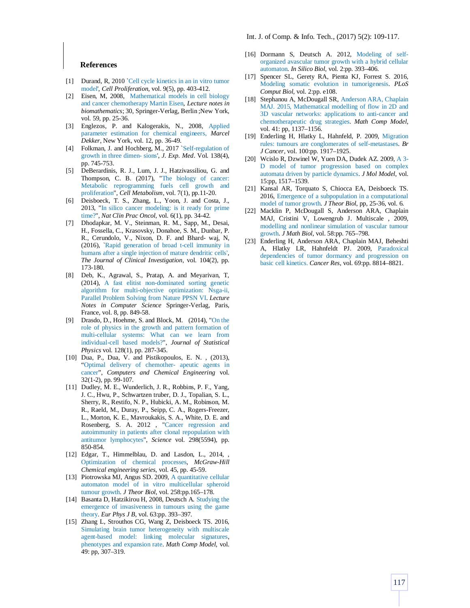Int. J. of Comp. & Info. Tech., (2017) 5(2): 109-117.

#### **References**

- [1] Durand, R, 2010 `Cell cycle kinetics in an in vitro tumor model', *Cell Proliferation*, vol. 9(5), pp. 403-412.
- [2] Eisen, M, 2008, Mathematical models in cell biology and cancer chemotherapy Martin Eisen, *Lecture notes in biomathematics*; 30, Springer-Verlag, Berlin ;New York, vol. 59, pp. 25-36.
- [3] Englezos, P. and Kalogerakis, N., 2008, Applied parameter estimation for chemical engineers, *Marcel Dekker*, New York, vol. 12, pp. 36-49.
- [4] Folkman, J. and Hochberg, M., 2017 `Self-regulation of growth in three dimen- sions', *J. Exp. Med*. Vol. 138(4), pp. 745-753.
- [5] DeBerardinis, R. J., Lum, J. J., Hatzivassiliou, G. and Thompson, C. B. (2017), "The biology of cancer: Metabolic reprogramming fuels cell growth and proliferation", *Cell Metabolism,* vol. 7(1), pp.11-20.
- [6] Deisboeck, T. S., Zhang, L., Yoon, J. and Costa, J., 2013, "In silico cancer modeling: is it ready for prime time?", *Nat Clin Prac Oncol*, vol. 6(1), pp. 34-42.
- [7] Dhodapkar, M. V., Steinman, R. M., Sapp, M., Desai, H., Fossella, C., Krasovsky, Donahoe, S. M., Dunbar, P. R., Cerundolo, V., Nixon, D. F. and Bhard- waj, N, (2016), `Rapid generation of broad t-cell immunity in humans after a single injection of mature dendritic cells', *The Journal of Clinical Investigation*, vol. 104(2), pp. 173-180.
- [8] Deb, K., Agrawal, S., Pratap, A. and Meyarivan, T, (2014), A fast elitist non-dominated sorting genetic algorithm for multi-objective optimization: Nsga-ii, Parallel Problem Solving from Nature PPSN VI. *Lecture Notes in Computer Science* Springer-Verlag, Paris, France, vol. 8, pp. 849-58.
- [9] Drasdo, D., Hoehme, S. and Block, M. (2014), "On the role of physics in the growth and pattern formation of multi-cellular systems: What can we learn from individual-cell based models?", *Journal of Statistical Physics* vol. 128(1), pp. 287-345.
- [10] Dua, P., Dua, V. and Pistikopoulos, E. N. , (2013), "Optimal delivery of chemother- apeutic agents in cancer", *Computers and Chemical Engineering* vol. 32(1-2), pp. 99-107.
- [11] Dudley, M. E., Wunderlich, J. R., Robbins, P. F., Yang, J. C., Hwu, P., Schwartzen truber, D. J., Topalian, S. L., Sherry, R., Restifo, N. P., Hubicki, A. M., Robinson, M. R., Raeld, M., Duray, P., Seipp, C. A., Rogers-Freezer, L., Morton, K. E., Mavroukakis, S. A., White, D. E. and Rosenberg, S. A. 2012 , "Cancer regression and autoimmunity in patients after clonal repopulation with antitumor lymphocytes", *Science* vol. 298(5594), pp. 850-854.
- [12] Edgar, T., Himmelblau, D. and Lasdon, L., 2014, Optimization of chemical processes, *McGraw-Hill Chemical engineering series*, vol. 45, pp. 45-59.
- [13] Piotrowska MJ, Angus SD. 2009, A quantitative cellular automaton model of in vitro multicellular spheroid tumour growth. *J Theor Biol*, vol. 258:pp.165–178.
- [14] Basanta D, Hatzikirou H, 2008, Deutsch A. Studying the emergence of invasiveness in tumours using the game theory. *Eur Phys J B*, vol. 63:pp. 393–397.
- [15] Zhang L, Strouthos CG, Wang Z, Deisboeck TS. 2016, Simulating brain tumor heterogeneity with multiscale agent-based model: linking molecular signatures, phenotypes and expansion rate. *Math Comp Model*, vol. 49: pp, 307–319.
- [16] Dormann S, Deutsch A. 2012, Modeling of selforganized avascular tumor growth with a hybrid cellular automaton. *In Silico Biol*, vol. 2:pp. 393–406.
- [17] Spencer SL, Gerety RA, Pienta KJ, Forrest S. 2016, Modeling somatic evolution in tumorigenesis. *PLoS Comput Biol*, vol. 2:pp. e108.
- [18] Stephanou A, McDougall SR, Anderson ARA, Chaplain MAJ. 2015, Mathematical modelling of flow in 2D and 3D vascular networks: applications to anti-cancer and chemotherapeutic drug strategies. *Math Comp Model*, vol. 41: pp, 1137–1156.
- [19] Enderling H, Hlatky L, Hahnfeld, P. 2009, Migration rules: tumours are conglomerates of self-metastases. *Br J Cancer*, vol. 100:pp. 1917–1925.
- [20] Wcislo R, Dzwinel W, Yuen DA, Dudek AZ. 2009, A 3- D model of tumor progression based on complex automata driven by particle dynamics. *J Mol Model*, vol. 15:pp, 1517–1539.
- [21] Kansal AR, Torquato S, Chiocca EA, Deisboeck TS. 2016, Emergence of a subpopulation in a computational model of tumor growth*. J Theor Biol*, pp, 25-36, vol. 6.
- [22] Macklin P, McDougall S, Anderson ARA, Chaplain MAJ, Cristini V, Lowengrub J. Multiscale , 2009, modelling and nonlinear simulation of vascular tumour growth. *J Math Biol*, vol. 58:pp. 765–798.
- [23] Enderling H, Anderson ARA, Chaplain MAJ, Beheshti A, Hlatky LR, Hahnfeldt PJ. 2009, Paradoxical dependencies of tumor dormancy and progression on basic cell kinetics. *Cancer Res*, vol. 69:pp. 8814–8821.